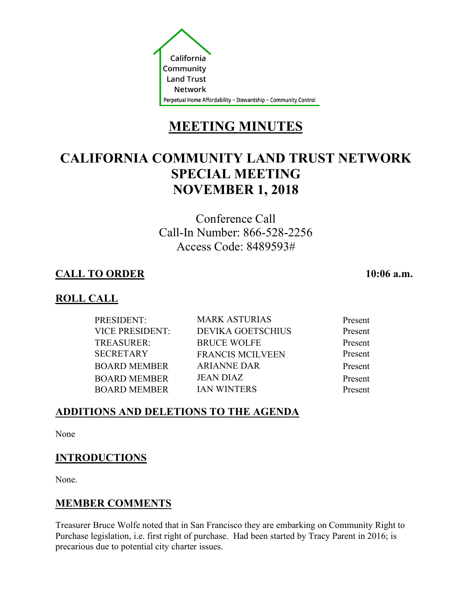

# **MEETING MINUTES**

# **CALIFORNIA COMMUNITY LAND TRUST NETWORK SPECIAL MEETING NOVEMBER 1, 2018**

Conference Call Call-In Number: 866-528-2256 Access Code: 8489593#

# **CALL TO ORDER 10:06 a.m.**

## **ROLL CALL**

| PRESIDENT:             | <b>MARK ASTURIAS</b>     | Present |
|------------------------|--------------------------|---------|
| <b>VICE PRESIDENT:</b> | <b>DEVIKA GOETSCHIUS</b> | Present |
| <b>TREASURER:</b>      | <b>BRUCE WOLFE</b>       | Present |
| <b>SECRETARY</b>       | <b>FRANCIS MCILVEEN</b>  | Present |
| <b>BOARD MEMBER</b>    | <b>ARIANNE DAR</b>       | Present |
| <b>BOARD MEMBER</b>    | <b>JEAN DIAZ</b>         | Present |
| <b>BOARD MEMBER</b>    | <b>JAN WINTERS</b>       | Present |

# **ADDITIONS AND DELETIONS TO THE AGENDA**

None

# **INTRODUCTIONS**

None.

# **MEMBER COMMENTS**

Treasurer Bruce Wolfe noted that in San Francisco they are embarking on Community Right to Purchase legislation, i.e. first right of purchase. Had been started by Tracy Parent in 2016; is precarious due to potential city charter issues.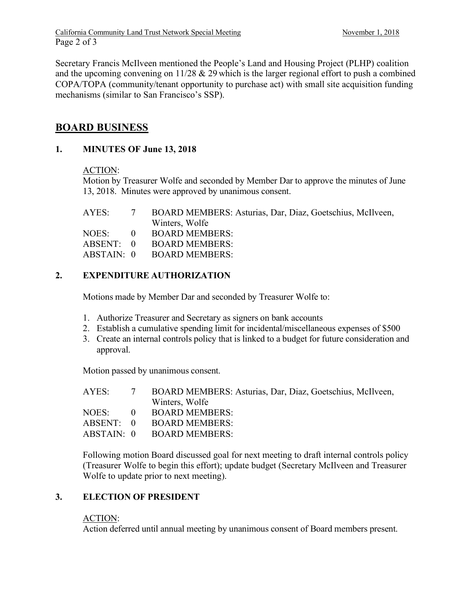Secretary Francis McIlveen mentioned the People's Land and Housing Project (PLHP) coalition and the upcoming convening on  $11/28 \& 29$  which is the larger regional effort to push a combined COPA/TOPA (community/tenant opportunity to purchase act) with small site acquisition funding mechanisms (similar to San Francisco's SSP).

## **BOARD BUSINESS**

### **1. MINUTES OF June 13, 2018**

#### ACTION:

Motion by Treasurer Wolfe and seconded by Member Dar to approve the minutes of June 13, 2018. Minutes were approved by unanimous consent.

| AYES: | $\overline{7}$ | BOARD MEMBERS: Asturias, Dar, Diaz, Goetschius, McIlveen, |
|-------|----------------|-----------------------------------------------------------|
|       |                | Winters, Wolfe                                            |
| NOES: | $\Omega$       | <b>BOARD MEMBERS:</b>                                     |
|       |                | ABSENT: 0 BOARD MEMBERS:                                  |
|       |                | ABSTAIN: 0 BOARD MEMBERS:                                 |
|       |                |                                                           |

## **2. EXPENDITURE AUTHORIZATION**

Motions made by Member Dar and seconded by Treasurer Wolfe to:

- 1. Authorize Treasurer and Secretary as signers on bank accounts
- 2. Establish a cumulative spending limit for incidental/miscellaneous expenses of \$500
- 3. Create an internal controls policy that is linked to a budget for future consideration and approval.

Motion passed by unanimous consent.

| AYES: 7 | BOARD MEMBERS: Asturias, Dar, Diaz, Goetschius, McIlveen, |
|---------|-----------------------------------------------------------|
|         | Winters, Wolfe                                            |
|         | NOES: 0 BOARD MEMBERS:                                    |
|         | ABSENT: 0 BOARD MEMBERS:                                  |
|         | ABSTAIN: 0 BOARD MEMBERS:                                 |
|         |                                                           |

Following motion Board discussed goal for next meeting to draft internal controls policy (Treasurer Wolfe to begin this effort); update budget (Secretary McIlveen and Treasurer Wolfe to update prior to next meeting).

## **3. ELECTION OF PRESIDENT**

#### ACTION:

Action deferred until annual meeting by unanimous consent of Board members present.